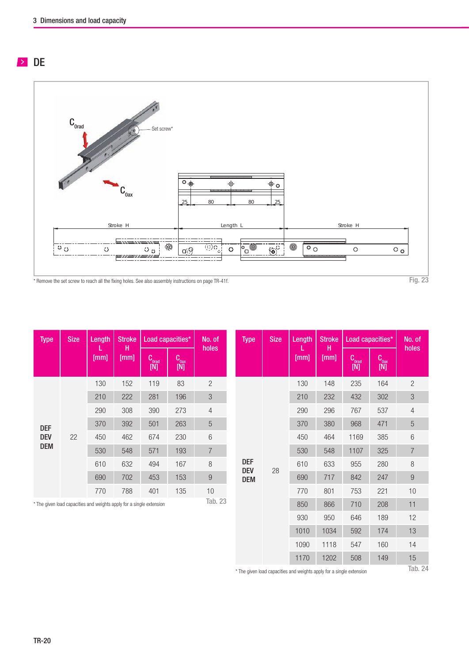## **DE**



| <b>Type</b> | <b>Size</b> | Length                                                               | <b>Stroke</b> | Load capacities*               |                                                | No. of         |
|-------------|-------------|----------------------------------------------------------------------|---------------|--------------------------------|------------------------------------------------|----------------|
|             |             | $[\overline{\text{mm}}]$                                             | н<br>[mm]     | $C_{\text{0q}\text{q}}$<br>[N] | $\begin{bmatrix} C_{0ax} \\ [N] \end{bmatrix}$ | holes          |
|             |             | 130                                                                  | 152           | 119                            | 83                                             | $\overline{2}$ |
|             |             | 210                                                                  | 222           | 281                            | 196                                            | 3              |
|             |             | 290                                                                  | 308           | 390                            | 273                                            | $\overline{4}$ |
| <b>DEF</b>  |             | 370                                                                  | 392           | 501                            | 263                                            | 5              |
| DEV         | 22          | 450                                                                  | 462           | 674                            | 230                                            | 6              |
| <b>DEM</b>  |             | 530                                                                  | 548           | 571                            | 193                                            | $\overline{7}$ |
|             |             | 610                                                                  | 632           | 494                            | 167                                            | 8              |
|             |             | 690                                                                  | 702           | 453                            | 153                                            | 9              |
|             |             | 770                                                                  | 788           | 401                            | 135                                            | 10             |
|             |             | * The given load capacities and weights apply for a single extension |               |                                |                                                | Tab. 23        |

\* The given load capacities and weights apply for a single extension

| <b>Type</b>              | <b>Size</b> | Length | <b>Stroke</b> | Load capacities*                          |                  | No. of         |
|--------------------------|-------------|--------|---------------|-------------------------------------------|------------------|----------------|
|                          |             | [mm]   | н<br>[mm]     | $C_{\text{orq}\downarrow}$<br>$[{\sf N}]$ | $C_{0}$<br>$[M]$ | holes          |
|                          |             | 130    | 148           | 235                                       | 164              | $\overline{c}$ |
|                          |             | 210    | 232           | 432                                       | 302              | 3              |
|                          |             | 290    | 296           | 767                                       | 537              | $\overline{4}$ |
|                          |             | 370    | 380           | 968                                       | 471              | 5              |
|                          |             | 450    | 464           | 1169                                      | 385              | 6              |
|                          |             | 530    | 548           | 1107                                      | 325              | $\overline{7}$ |
| <b>DEF</b>               |             | 610    | 633           | 955                                       | 280              | 8              |
| <b>DEV</b><br><b>DEM</b> | 28          | 690    | 717           | 842                                       | 247              | $\overline{9}$ |
|                          |             | 770    | 801           | 753                                       | 221              | 10             |
|                          |             | 850    | 866           | 710                                       | 208              | 11             |
|                          |             | 930    | 950           | 646                                       | 189              | 12             |
|                          |             | 1010   | 1034          | 592                                       | 174              | 13             |
|                          |             | 1090   | 1118          | 547                                       | 160              | 14             |
|                          |             | 1170   | 1202          | 508                                       | 149              | 15             |

 $^\star$  The given load capacities and weights apply for a single extension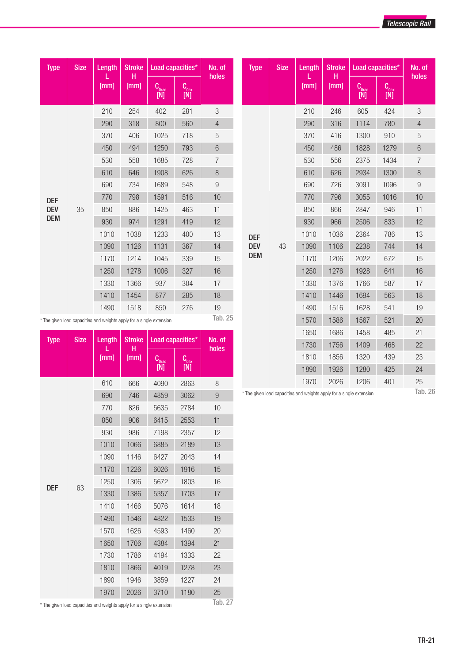| <b>Type</b> | <b>Size</b>      | Length                                                               | <b>Stroke</b> | Load capacities*                 |                                                                 | No. of                    | <b>Type</b> | <b>Size</b> | Length | <b>Stroke</b> | Load capacities*                  |                     | No. of           |
|-------------|------------------|----------------------------------------------------------------------|---------------|----------------------------------|-----------------------------------------------------------------|---------------------------|-------------|-------------|--------|---------------|-----------------------------------|---------------------|------------------|
|             |                  | [mm]                                                                 | н<br>[mm]     | $C_{\text{orad}}$<br>$[{\sf N}]$ | $\mathbf{C}_{_{\mathbf{0}\mathbf{a}\mathbf{x}}}$<br>$[{\sf N}]$ | holes                     |             |             | [mm]   | н<br>[mm]     | $\mathbf{C}_\text{orad}$<br>$[M]$ | Cage<br>$[{\sf N}]$ | holes            |
|             |                  | 210                                                                  | 254           | 402                              | 281                                                             | $\ensuremath{\mathsf{3}}$ |             |             | 210    | 246           | 605                               | 424                 | 3                |
|             |                  | 290                                                                  | 318           | 800                              | 560                                                             | $\overline{4}$            |             |             | 290    | 316           | 1114                              | 780                 | $\overline{4}$   |
|             |                  | 370                                                                  | 406           | 1025                             | 718                                                             | $\mathbf 5$               |             |             | 370    | 416           | 1300                              | 910                 | 5                |
|             |                  | 450                                                                  | 494           | 1250                             | 793                                                             | 6                         |             |             | 450    | 486           | 1828                              | 1279                | $6\,$            |
|             |                  | 530                                                                  | 558           | 1685                             | 728                                                             | $\overline{7}$            |             |             | 530    | 556           | 2375                              | 1434                | $\overline{7}$   |
|             |                  | 610                                                                  | 646           | 1908                             | 626                                                             | 8                         |             |             | 610    | 626           | 2934                              | 1300                | $\,8\,$          |
|             |                  | 690                                                                  | 734           | 1689                             | 548                                                             | $\boldsymbol{9}$          |             |             | 690    | 726           | 3091                              | 1096                | $\boldsymbol{9}$ |
| <b>DEF</b>  | 770<br>35<br>850 |                                                                      | 798           | 1591                             | 516                                                             | 10                        |             |             | 770    | 796           | 3055                              | 1016                | 10               |
| <b>DEV</b>  |                  | 886                                                                  | 1425          | 463                              | 11                                                              |                           |             | 850         | 866    | 2847          | 946                               | 11                  |                  |
| <b>DEM</b>  |                  | 930                                                                  | 974           | 1291                             | 419                                                             | 12                        |             |             | 930    | 966           | 2506                              | 833                 | 12               |
|             |                  | 1010                                                                 | 1038          | 1233                             | 400                                                             | 13                        | <b>DEF</b>  |             | 1010   | 1036          | 2364                              | 786                 | 13               |
|             |                  | 1090                                                                 | 1126          | 1131                             | 367                                                             | 14                        | <b>DEV</b>  | 43          | 1090   | 1106          | 2238                              | 744                 | 14               |
|             |                  | 1170                                                                 | 1214          | 1045                             | 339                                                             | 15                        | <b>DEM</b>  |             | 1170   | 1206          | 2022                              | 672                 | 15               |
|             |                  | 1250                                                                 | 1278          | 1006                             | 327                                                             | 16                        |             |             | 1250   | 1276          | 1928                              | 641                 | 16               |
|             |                  | 1330                                                                 | 1366          | 937                              | 304                                                             | 17                        |             |             | 1330   | 1376          | 1766                              | 587                 | 17               |
|             |                  | 1410                                                                 | 1454          | 877                              | 285                                                             | 18                        |             |             | 1410   | 1446          | 1694                              | 563                 | 18               |
|             |                  | 1490                                                                 | 1518          | 850                              | 276                                                             | 19                        |             |             | 1490   | 1516          | 1628                              | 541                 | 19               |
|             |                  | * The given load capacities and weights apply for a single extension |               |                                  |                                                                 | Tab. 25                   |             |             | 1570   | 1586          | 1567                              | 521                 | 20               |
|             |                  |                                                                      |               |                                  |                                                                 |                           |             |             | 1650   | 1686          | 1458                              | 485                 | 21               |

| <b>Type</b> | <b>Size</b> | Length                                                               | <b>Stroke</b>                                                        | Load capacities* |                | No. of                                                           |
|-------------|-------------|----------------------------------------------------------------------|----------------------------------------------------------------------|------------------|----------------|------------------------------------------------------------------|
|             |             | [mm]                                                                 | н<br>[mm]                                                            | Corad<br>[N]     | $C_{0}$<br>[N] |                                                                  |
|             |             | 610                                                                  | 666                                                                  | 4090             | 2863           | 8                                                                |
|             |             | 690                                                                  | 746                                                                  | 4859             | 3062           | 9                                                                |
|             |             | 770                                                                  | 826                                                                  | 5635             | 2784           | 10                                                               |
|             |             | 850                                                                  | 906                                                                  | 6415             | 2553           | 11                                                               |
|             |             | 930                                                                  | 986                                                                  | 7198             | 2357           | 12                                                               |
|             |             | 1010                                                                 | 1066<br>6885<br>2189<br>1146<br>6427<br>2043<br>1916<br>1226<br>6026 | 13               |                |                                                                  |
|             |             | 1090                                                                 |                                                                      |                  |                | 14                                                               |
|             |             | 1170                                                                 |                                                                      |                  |                | 15                                                               |
|             | 63          | 1250                                                                 | 1306                                                                 | 5672             | 1803           | 16                                                               |
| DEF         |             | 1330                                                                 | 1386                                                                 | 5357             | 1703           | 17                                                               |
|             |             | 1410                                                                 | 1466                                                                 | 5076             | 1614           | holes<br>18<br>19<br>20<br>21<br>22<br>23<br>24<br>25<br>Tab. 27 |
|             |             | 1490                                                                 | 1546                                                                 | 4822             | 1533           |                                                                  |
|             |             | 1570                                                                 | 1626                                                                 | 4593             | 1460           |                                                                  |
|             |             | 1650                                                                 | 1706                                                                 | 4384             | 1394           |                                                                  |
|             |             | 1730                                                                 | 1786                                                                 | 4194             | 1333           |                                                                  |
|             |             | 1810                                                                 | 1866                                                                 | 4019             | 1278           |                                                                  |
|             |             | 1890                                                                 | 1946                                                                 | 3859             | 1227           |                                                                  |
|             |             | 1970                                                                 | 2026                                                                 | 3710             | 1180           |                                                                  |
|             |             | * The given load canacities and weights annly for a single extension |                                                                      |                  |                |                                                                  |

 $^\star$  The given load capacities and weights apply for a single extension

\* The given load capacities and weights apply for a single extension

1730 1756 1409 468 22 1810 1856 1320 439 23 1890 1926 1280 425 24 1970 2026 1206 401 25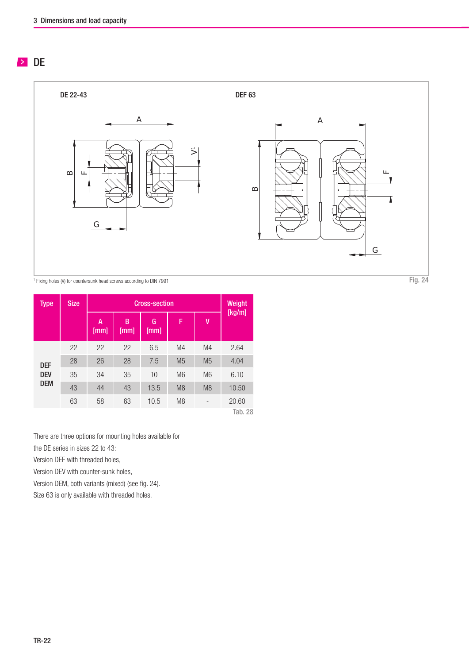## $\geq$  DE



Type Size Size Cross-section Size Weight [kg/m] A [mm] B [mm] G [mm] F V DEF DEV DEM 22 22 22 6.5 M4 M4 2.64 28 26 28 7.5 M5 M5 4.04 35 34 35 10 M6 M6 6.10 43 44 43 13.5 M8 M8 10.50 63 58 63 10.5 M8 - 20.60 Tab. 28

There are three options for mounting holes available for

the DE series in sizes 22 to 43:

Version DEF with threaded holes,

Version DEV with counter-sunk holes,

Version DEM, both variants (mixed) (see fig. 24).

Size 63 is only available with threaded holes.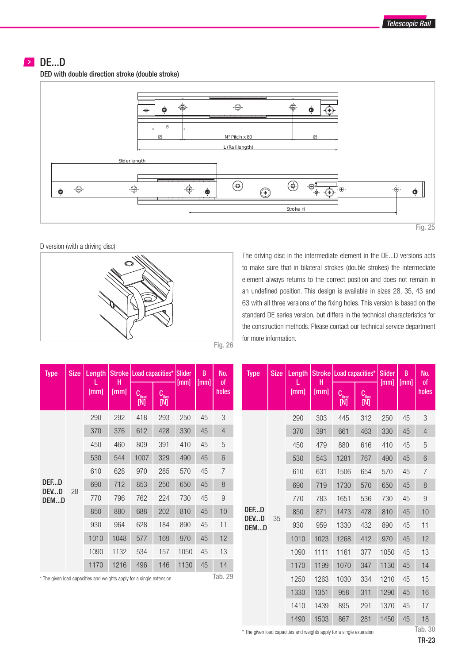## DE...D

DED with double direction stroke (double stroke)



D version (with a driving disc)



The driving disc in the intermediate element in the DE...D versions acts to make sure that in bilateral strokes (double strokes) the intermediate element always returns to the correct position and does not remain in an undefined position. This design is available in sizes 28, 35, 43 and 63 with all three versions of the fixing holes. This version is based on the standard DE series version, but differs in the technical characteristics for the construction methods. Please contact our technical service department for more information.

| <b>Type</b>                                                          | <b>Size</b> | Length |           | Stroke   Load capacities*   Slider      |             |      | B                                                                                            | No.   |
|----------------------------------------------------------------------|-------------|--------|-----------|-----------------------------------------|-------------|------|----------------------------------------------------------------------------------------------|-------|
|                                                                      |             | [mm]   | н<br>[mm] | Coray<br>[N]                            | Copy<br>[N] | [mm] |                                                                                              | holes |
|                                                                      |             | 290    | 292       | 418                                     | 293         | 250  | 45                                                                                           | 3     |
|                                                                      |             | 370    | 376       | 612                                     | 428         | 330  | 45                                                                                           | 4     |
|                                                                      |             | 450    | 460       | 809                                     | 391         | 410  | 45                                                                                           | 5     |
|                                                                      |             | 530    | 544       | 1007<br>329<br>490<br>285<br>970<br>570 | 45          | 6    |                                                                                              |       |
|                                                                      |             | 610    | 628       |                                         |             |      | 45                                                                                           | 7     |
| DEED<br>DEVD                                                         | 28          | 690    | 712       | 853                                     | 250         | 650  | 45                                                                                           | 8     |
| DEMD                                                                 |             | 770    | 796       | 762                                     | 224         | 730  | [mm]<br>οf<br>45<br>9<br>45<br>10<br>45<br>11<br>45<br>12<br>45<br>13<br>45<br>14<br>Tab. 29 |       |
|                                                                      |             | 850    | 880       | 688                                     | 202         | 810  |                                                                                              |       |
|                                                                      |             | 930    | 964       | 628                                     | 184         | 890  |                                                                                              |       |
|                                                                      |             | 1010   | 1048      | 577                                     | 169         | 970  |                                                                                              |       |
|                                                                      |             | 1090   | 1132      | 534                                     | 157         | 1050 |                                                                                              |       |
|                                                                      |             | 1170   | 1216      | 496                                     | 146         | 1130 |                                                                                              |       |
| * The given load capacities and weights apply for a single extension |             |        |           |                                         |             |      |                                                                                              |       |

| <b>Type</b>                                                          | <b>Size</b> | Length |           | Stroke   Load capacities* |                    | <b>Slider</b> | B    | No.            |
|----------------------------------------------------------------------|-------------|--------|-----------|---------------------------|--------------------|---------------|------|----------------|
|                                                                      |             | [mm]   | н<br>[mm] | Corad<br>$[{\sf N}]$      | Com<br>$[{\sf N}]$ | [mm]          | [mm] | 0f<br>holes    |
|                                                                      |             | 290    | 303       | 445                       | 312                | 250           | 45   | 3              |
|                                                                      |             | 370    | 391       | 661                       | 463                | 330           | 45   | $\overline{4}$ |
|                                                                      |             | 450    | 479       | 880                       | 616                | 410           | 45   | 5              |
|                                                                      |             | 530    | 543       | 1281                      | 767                | 490           | 45   | 6              |
|                                                                      |             | 610    | 631       | 1506                      | 654                | 570           | 45   | $\overline{7}$ |
|                                                                      |             | 690    | 719       | 1730                      | 570                | 650           | 45   | 8              |
|                                                                      |             | 770    | 783       | 1651                      | 536                | 730           | 45   | 9              |
| DEFD                                                                 |             | 850    | 871       | 1473                      | 478                | 810           | 45   | 10             |
| DEVD<br>DEMD                                                         | 35          | 930    | 959       | 1330                      | 432                | 890           | 45   | 11             |
|                                                                      |             | 1010   | 1023      | 1268                      | 412                | 970           | 45   | 12             |
|                                                                      |             | 1090   | 1111      | 1161                      | 377                | 1050          | 45   | 13             |
|                                                                      |             | 1170   | 1199      | 1070                      | 347                | 1130          | 45   | 14             |
|                                                                      |             | 1250   | 1263      | 1030                      | 334                | 1210          | 45   | 15             |
|                                                                      |             | 1330   | 1351      | 958                       | 311                | 1290          | 45   | 16             |
|                                                                      |             | 1410   | 1439      | 895                       | 291                | 1370          | 45   | 17             |
|                                                                      |             | 1490   | 1503      | 867                       | 281                | 1450          | 45   | 18             |
| * The given load capacities and weights apply for a single extension |             |        |           |                           |                    |               |      | Tab. 30        |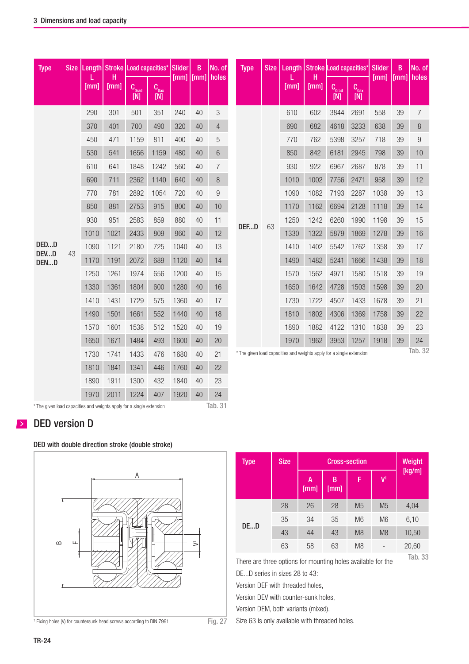| <b>Type</b>  | <b>Size</b> |      | Length Stroke Load capacities*<br>н |             |                  | <b>Slider</b><br>$[mm]$ $[mm]$ | B  | No. of<br>holes | <b>Type</b> | <b>Size</b>                                                          | Lenath | Stroke Load capacities*<br>н |             |                  | <b>Slider</b><br><b>Imml</b> | B<br>[mm] | No. of<br>holes |
|--------------|-------------|------|-------------------------------------|-------------|------------------|--------------------------------|----|-----------------|-------------|----------------------------------------------------------------------|--------|------------------------------|-------------|------------------|------------------------------|-----------|-----------------|
|              |             | [mm] | [mm]                                | Comp<br>[N] | $C_{0ax}$<br>[N] |                                |    |                 |             |                                                                      | [mm]   | [mm]                         | Copy<br>[N] | $C_{0ax}$<br>[N] |                              |           |                 |
|              |             | 290  | 301                                 | 501         | 351              | 240                            | 40 | 3               |             |                                                                      | 610    | 602                          | 3844        | 2691             | 558                          | 39        | $\overline{7}$  |
|              |             | 370  | 401                                 | 700         | 490              | 320                            | 40 | $\overline{4}$  |             |                                                                      | 690    | 682                          | 4618        | 3233             | 638                          | 39        | 8               |
|              |             | 450  | 471                                 | 1159        | 811              | 400                            | 40 | 5               |             |                                                                      | 770    | 762                          | 5398        | 3257             | 718                          | 39        | 9               |
|              |             | 530  | 541                                 | 1656        | 1159             | 480                            | 40 | 6               |             |                                                                      | 850    | 842                          | 6181        | 2945             | 798                          | 39        | 10              |
|              |             | 610  | 641                                 | 1848        | 1242             | 560                            | 40 | 7               |             |                                                                      | 930    | 922                          | 6967        | 2687             | 878                          | 39        | 11              |
|              |             | 690  | 711                                 | 2362        | 1140             | 640                            | 40 | 8               |             |                                                                      | 1010   | 1002                         | 7756        | 2471             | 958                          | 39        | 12              |
|              |             | 770  | 781                                 | 2892        | 1054             | 720                            | 40 | 9               | DEFD        |                                                                      | 1090   | 1082                         | 7193        | 2287             | 1038                         | 39        | 13              |
|              |             | 850  | 881                                 | 2753        | 915              | 800                            | 40 | 10              |             |                                                                      | 1170   | 1162                         | 6694        | 2128             | 1118                         | 39        | 14              |
|              |             | 930  | 951                                 | 2583        | 859              | 880                            | 40 | 11              |             | 63                                                                   | 1250   | 1242                         | 6260        | 1990             | 1198                         | 39        | 15              |
|              |             | 1010 | 1021                                | 2433        | 809              | 960                            | 40 | 12              |             |                                                                      | 1330   | 1322                         | 5879        | 1869             | 1278                         | 39        | 16              |
| DEDD<br>DEVD | 43          | 1090 | 1121                                | 2180        | 725              | 1040                           | 40 | 13              |             |                                                                      | 1410   | 1402                         | 5542        | 1762             | 1358                         | 39        | 17              |
| DEND         |             | 1170 | 1191                                | 2072        | 689              | 1120                           | 40 | 14              |             |                                                                      | 1490   | 1482                         | 5241        | 1666             | 1438                         | 39        | 18              |
|              |             | 1250 | 1261                                | 1974        | 656              | 1200                           | 40 | 15              |             |                                                                      | 1570   | 1562                         | 4971        | 1580             | 1518                         | 39        | 19              |
|              |             | 1330 | 1361                                | 1804        | 600              | 1280                           | 40 | 16              |             |                                                                      | 1650   | 1642                         | 4728        | 1503             | 1598                         | 39        | 20              |
|              |             | 1410 | 1431                                | 1729        | 575              | 1360                           | 40 | 17              |             |                                                                      | 1730   | 1722                         | 4507        | 1433             | 1678                         | 39        | 21              |
|              |             | 1490 | 1501                                | 1661        | 552              | 1440                           | 40 | 18              |             |                                                                      | 1810   | 1802                         | 4306        | 1369             | 1758                         | 39        | 22              |
|              |             | 1570 | 1601                                | 1538        | 512              | 1520                           | 40 | 19              |             |                                                                      | 1890   | 1882                         | 4122        | 1310             | 1838                         | 39        | 23              |
|              |             | 1650 | 1671                                | 1484        | 493              | 1600                           | 40 | 20              |             |                                                                      | 1970   | 1962                         | 3953        | 1257             | 1918                         | 39        | 24              |
|              |             | 1730 | 1741                                | 1433        | 476              | 1680                           | 40 | 21              |             | * The given load capacities and weights apply for a single extension |        |                              |             |                  |                              |           | Tab. 32         |
|              |             | 1810 | 1841                                | 1341        | 446              | 1760                           | 40 | 22              |             |                                                                      |        |                              |             |                  |                              |           |                 |

Tab. 31

\* The given load capacities and weights apply for a single extension

# **DED** version D

#### DED with double direction stroke (double stroke)



1890 1911 1300 432 1840 40 23 1970 2011 1224 407 1920 40 24

| <b>Type</b> | <b>Size</b> |           | Weight    |                |                          |        |
|-------------|-------------|-----------|-----------|----------------|--------------------------|--------|
|             |             | A<br>[mm] | B<br>[mm] | F              | $V^1$                    | [kg/m] |
|             | 28          | 26        | 28        | M <sub>5</sub> | M <sub>5</sub>           | 4,04   |
| DED         | 35          | 34        | 35        | M <sub>6</sub> | M <sub>6</sub>           | 6,10   |
|             | 43          | 44        | 43        | M <sub>8</sub> | M <sub>8</sub>           | 10,50  |
|             | 63          | 58        | 63        | M <sub>8</sub> | $\overline{\phantom{0}}$ | 20,60  |

Tab. 33 There are three options for mounting holes available for the

DE...D series in sizes 28 to 43:

Version DEF with threaded holes,

Version DEV with counter-sunk holes,

Version DEM, both variants (mixed).

Size 63 is only available with threaded holes.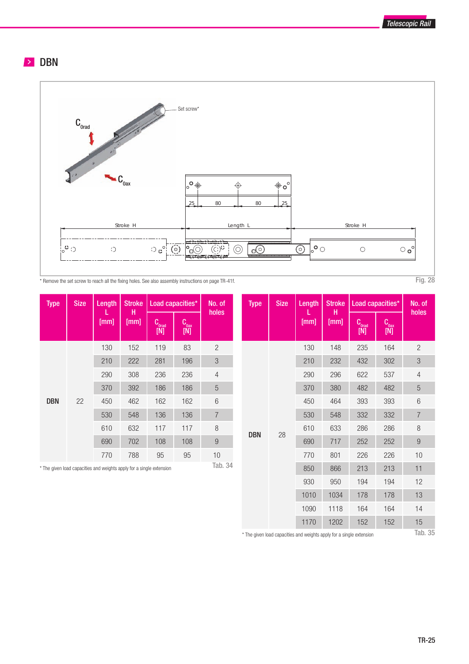Telescopic Rail

## **DBN**



\* Remove the set screw to reach all the fixing holes. See also assembly instructions on page TR-41f. Fig. 28 Fig. 28

| <b>Type</b> | <b>Size</b> | Length                                                               | <b>Stroke</b><br>н | Load capacities* |                          | No. of         |
|-------------|-------------|----------------------------------------------------------------------|--------------------|------------------|--------------------------|----------------|
|             |             | [mm]                                                                 | [mm]               | County<br>$[M]$  | Coav<br>$[\overline{N}]$ | holes          |
|             |             | 130                                                                  | 152                | 119              | 83                       | $\overline{2}$ |
|             |             | 210                                                                  | 222                | 281              | 196                      | 3              |
|             |             | 290                                                                  | 308                | 236              | 236                      | 4              |
|             |             | 370                                                                  | 392                | 186              | 186                      | 5              |
| <b>DBN</b>  | 22          | 450                                                                  | 462                | 162              | 162                      | 6              |
|             |             | 530                                                                  | 548                | 136              | 136                      | $\overline{7}$ |
|             |             | 610                                                                  | 632                | 117              | 117                      | 8              |
|             |             | 690                                                                  | 702                | 108              | 108                      | $9\,$          |
|             |             | 770                                                                  | 788                | 95               | 95                       | 10             |
|             |             | * The given load canacities and weights annly for a single extension |                    |                  |                          | Tab. 34        |

\* The given load capacities and weights apply for a single extension

| <b>Type</b> | <b>Size</b> | Length | <b>Stroke</b><br>н |                          | Load capacities* | No. of           |
|-------------|-------------|--------|--------------------|--------------------------|------------------|------------------|
|             |             | [mm]   | [mm]               | Coraul<br>[N]            | Coay<br>[N]      | holes            |
|             |             | 130    | 148                | 235                      | 164              | $\overline{c}$   |
|             |             | 210    | 232                | 432                      | 302              | 3                |
|             |             | 290    | 296                | 622                      | 537              | $\overline{4}$   |
|             |             | 370    | 380                | 482                      | 482              | 5                |
|             |             | 450    | 464                | 393<br>393<br>332<br>332 | 6                |                  |
|             |             | 530    | 548                |                          |                  | $\overline{7}$   |
| DBN         | 28          | 610    | 633                | 286                      | 286              | 8                |
|             |             | 690    | 717                | 252                      | 252              | $\boldsymbol{9}$ |
|             |             | 770    | 801                | 226                      | 226              | 10               |
|             |             | 850    | 866                | 213                      | 213              | 11               |
|             |             | 930    | 950                | 194                      | 194              | 12               |
|             |             | 1010   | 1034               | 178                      | 178              | 13               |
|             |             | 1090   | 1118               | 164                      | 164              | 14               |
|             |             | 1170   | 1202               | 152                      | 152              | 15               |

\* The given load capacities and weights apply for a single extension